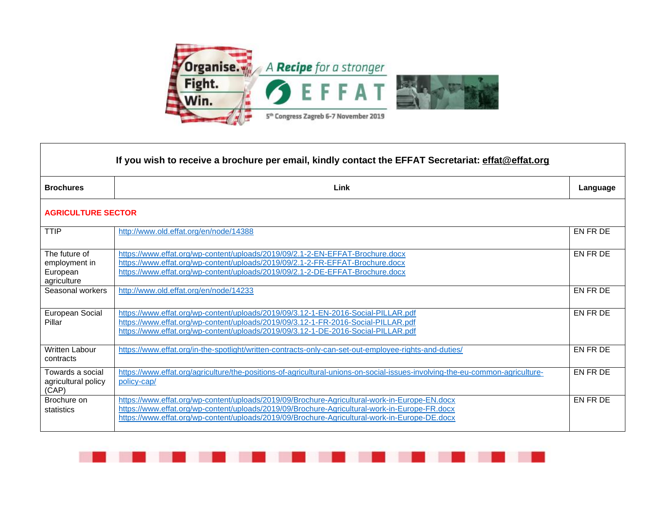

 $\blacksquare$ 

| If you wish to receive a brochure per email, kindly contact the EFFAT Secretariat: effat@effat.org |                                                                                                                                                                                                                                                                                                 |          |  |
|----------------------------------------------------------------------------------------------------|-------------------------------------------------------------------------------------------------------------------------------------------------------------------------------------------------------------------------------------------------------------------------------------------------|----------|--|
| <b>Brochures</b>                                                                                   | Link                                                                                                                                                                                                                                                                                            | Language |  |
| <b>AGRICULTURE SECTOR</b>                                                                          |                                                                                                                                                                                                                                                                                                 |          |  |
| <b>TTIP</b>                                                                                        | http://www.old.effat.org/en/node/14388                                                                                                                                                                                                                                                          | EN FR DE |  |
| The future of<br>employment in<br>European<br>agriculture                                          | https://www.effat.org/wp-content/uploads/2019/09/2.1-2-EN-EFFAT-Brochure.docx<br>https://www.effat.org/wp-content/uploads/2019/09/2.1-2-FR-EFFAT-Brochure.docx<br>https://www.effat.org/wp-content/uploads/2019/09/2.1-2-DE-EFFAT-Brochure.docx                                                 | EN FR DE |  |
| Seasonal workers                                                                                   | http://www.old.effat.org/en/node/14233                                                                                                                                                                                                                                                          | EN FR DE |  |
| European Social<br>Pillar                                                                          | https://www.effat.org/wp-content/uploads/2019/09/3.12-1-EN-2016-Social-PILLAR.pdf<br>https://www.effat.org/wp-content/uploads/2019/09/3.12-1-FR-2016-Social-PILLAR.pdf<br>https://www.effat.org/wp-content/uploads/2019/09/3.12-1-DE-2016-Social-PILLAR.pdf                                     | EN FR DE |  |
| <b>Written Labour</b><br>contracts                                                                 | https://www.effat.org/in-the-spotlight/written-contracts-only-can-set-out-employee-rights-and-duties/                                                                                                                                                                                           | EN FR DE |  |
| Towards a social<br>agricultural policy<br>(CAP)                                                   | https://www.effat.org/agriculture/the-positions-of-agricultural-unions-on-social-issues-involving-the-eu-common-agriculture-<br>policy-cap/                                                                                                                                                     | EN FR DE |  |
| Brochure on<br>statistics                                                                          | https://www.effat.org/wp-content/uploads/2019/09/Brochure-Agricultural-work-in-Europe-EN.docx<br>https://www.effat.org/wp-content/uploads/2019/09/Brochure-Agricultural-work-in-Europe-FR.docx<br>https://www.effat.org/wp-content/uploads/2019/09/Brochure-Agricultural-work-in-Europe-DE.docx | EN FR DE |  |

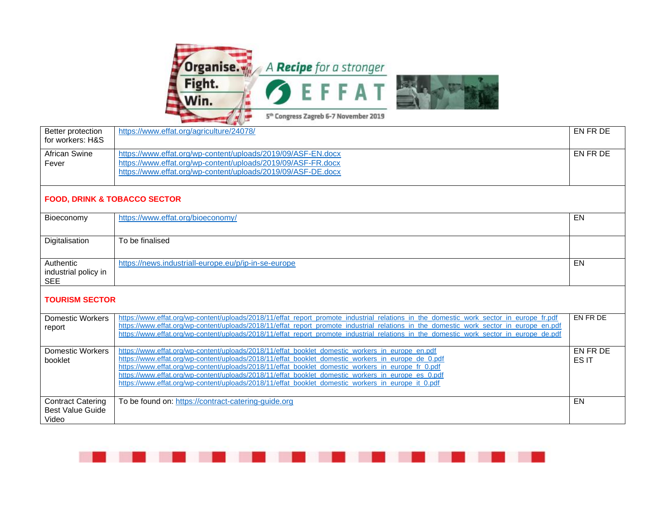

| Better protection<br>for workers: H&S                        | https://www.effat.org/agriculture/24078/                                                                                                                                                                                                                                                                                                                                                                                                                                                                                 | EN FR DE          |  |
|--------------------------------------------------------------|--------------------------------------------------------------------------------------------------------------------------------------------------------------------------------------------------------------------------------------------------------------------------------------------------------------------------------------------------------------------------------------------------------------------------------------------------------------------------------------------------------------------------|-------------------|--|
| <b>African Swine</b><br>Fever                                | https://www.effat.org/wp-content/uploads/2019/09/ASF-EN.docx<br>https://www.effat.org/wp-content/uploads/2019/09/ASF-FR.docx<br>https://www.effat.org/wp-content/uploads/2019/09/ASF-DE.docx                                                                                                                                                                                                                                                                                                                             | EN FR DE          |  |
| <b>FOOD, DRINK &amp; TOBACCO SECTOR</b>                      |                                                                                                                                                                                                                                                                                                                                                                                                                                                                                                                          |                   |  |
| Bioeconomy                                                   | https://www.effat.org/bioeconomy/                                                                                                                                                                                                                                                                                                                                                                                                                                                                                        | EN                |  |
| Digitalisation                                               | To be finalised                                                                                                                                                                                                                                                                                                                                                                                                                                                                                                          |                   |  |
| Authentic<br>industrial policy in<br><b>SEE</b>              | https://news.industriall-europe.eu/p/ip-in-se-europe                                                                                                                                                                                                                                                                                                                                                                                                                                                                     | EN                |  |
| <b>TOURISM SECTOR</b>                                        |                                                                                                                                                                                                                                                                                                                                                                                                                                                                                                                          |                   |  |
| <b>Domestic Workers</b><br>report                            | https://www.effat.org/wp-content/uploads/2018/11/effat_report_promote_industrial_relations_in_the_domestic_work_sector_in_europe_fr.pdf<br>https://www.effat.org/wp-content/uploads/2018/11/effat report promote industrial relations in the domestic work sector in europe en.pdf<br>https://www.effat.org/wp-content/uploads/2018/11/effat report promote industrial relations in the domestic work sector in europe de.pdf                                                                                            | EN FR DE          |  |
| Domestic Workers<br>booklet                                  | https://www.effat.org/wp-content/uploads/2018/11/effat_booklet_domestic_workers_in_europe_en.pdf<br>https://www.effat.org/wp-content/uploads/2018/11/effat_booklet_domestic_workers_in_europe_de_0.pdf<br>https://www.effat.org/wp-content/uploads/2018/11/effat_booklet_domestic_workers_in_europe_fr_0.pdf<br>https://www.effat.org/wp-content/uploads/2018/11/effat_booklet_domestic_workers_in_europe_es_0.pdf<br>https://www.effat.org/wp-content/uploads/2018/11/effat_booklet_domestic_workers_in_europe_it_0.pdf | EN FR DE<br>ES IT |  |
| <b>Contract Catering</b><br><b>Best Value Guide</b><br>Video | To be found on: https://contract-catering-guide.org                                                                                                                                                                                                                                                                                                                                                                                                                                                                      | EN                |  |

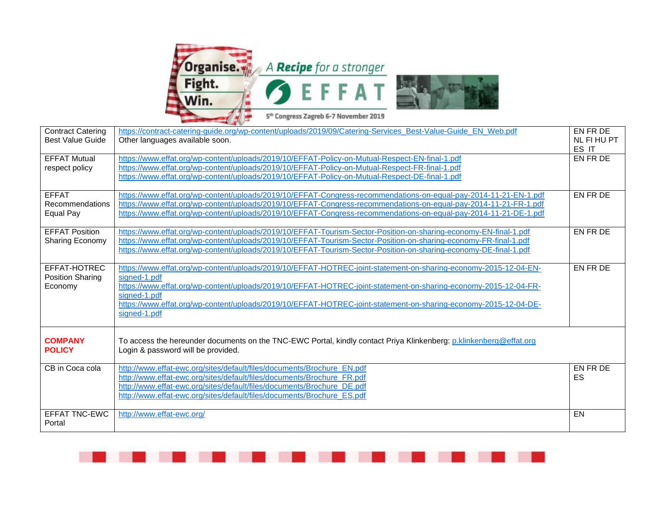

| <b>Contract Catering</b> | https://contract-catering-guide.org/wp-content/uploads/2019/09/Catering-Services Best-Value-Guide EN Web.pdf       | EN FR DE    |
|--------------------------|--------------------------------------------------------------------------------------------------------------------|-------------|
| <b>Best Value Guide</b>  | Other languages available soon.                                                                                    | NL FI HU PT |
|                          |                                                                                                                    | ES IT       |
| <b>EFFAT Mutual</b>      | https://www.effat.org/wp-content/uploads/2019/10/EFFAT-Policy-on-Mutual-Respect-EN-final-1.pdf                     | EN FR DE    |
| respect policy           | https://www.effat.org/wp-content/uploads/2019/10/EFFAT-Policy-on-Mutual-Respect-FR-final-1.pdf                     |             |
|                          | https://www.effat.org/wp-content/uploads/2019/10/EFFAT-Policy-on-Mutual-Respect-DE-final-1.pdf                     |             |
|                          |                                                                                                                    |             |
| <b>EFFAT</b>             | https://www.effat.org/wp-content/uploads/2019/10/EFFAT-Congress-recommendations-on-equal-pay-2014-11-21-EN-1.pdf   | EN FR DE    |
| Recommendations          | https://www.effat.org/wp-content/uploads/2019/10/EFFAT-Congress-recommendations-on-equal-pay-2014-11-21-FR-1.pdf   |             |
| Equal Pay                | https://www.effat.org/wp-content/uploads/2019/10/EFFAT-Congress-recommendations-on-equal-pay-2014-11-21-DE-1.pdf   |             |
|                          |                                                                                                                    |             |
| <b>EFFAT Position</b>    | https://www.effat.org/wp-content/uploads/2019/10/EFFAT-Tourism-Sector-Position-on-sharing-economy-EN-final-1.pdf   | EN FR DE    |
| Sharing Economy          | https://www.effat.org/wp-content/uploads/2019/10/EFFAT-Tourism-Sector-Position-on-sharing-economy-FR-final-1.pdf   |             |
|                          | https://www.effat.org/wp-content/uploads/2019/10/EFFAT-Tourism-Sector-Position-on-sharing-economy-DE-final-1.pdf   |             |
|                          |                                                                                                                    |             |
| EFFAT-HOTREC             | https://www.effat.org/wp-content/uploads/2019/10/EFFAT-HOTREC-joint-statement-on-sharing-economy-2015-12-04-EN-    | EN FR DE    |
| <b>Position Sharing</b>  | signed-1.pdf                                                                                                       |             |
| Economy                  | https://www.effat.org/wp-content/uploads/2019/10/EFFAT-HOTREC-joint-statement-on-sharing-economy-2015-12-04-FR-    |             |
|                          | signed-1.pdf                                                                                                       |             |
|                          | https://www.effat.org/wp-content/uploads/2019/10/EFFAT-HOTREC-joint-statement-on-sharing-economy-2015-12-04-DE-    |             |
|                          | signed-1.pdf                                                                                                       |             |
|                          |                                                                                                                    |             |
|                          |                                                                                                                    |             |
| <b>COMPANY</b>           | To access the hereunder documents on the TNC-EWC Portal, kindly contact Priya Klinkenberg: p.klinkenberg@effat.org |             |
| <b>POLICY</b>            | Login & password will be provided.                                                                                 |             |
|                          |                                                                                                                    |             |
| CB in Coca cola          | http://www.effat-ewc.org/sites/default/files/documents/Brochure EN.pdf                                             | EN FR DE    |
|                          | http://www.effat-ewc.org/sites/default/files/documents/Brochure FR.pdf                                             | ES          |
|                          | http://www.effat-ewc.org/sites/default/files/documents/Brochure DE.pdf                                             |             |
|                          | http://www.effat-ewc.org/sites/default/files/documents/Brochure_ES.pdf                                             |             |
|                          |                                                                                                                    |             |
| <b>EFFAT TNC-EWC</b>     | http://www.effat-ewc.org/                                                                                          | EN          |
| Portal                   |                                                                                                                    |             |
|                          |                                                                                                                    |             |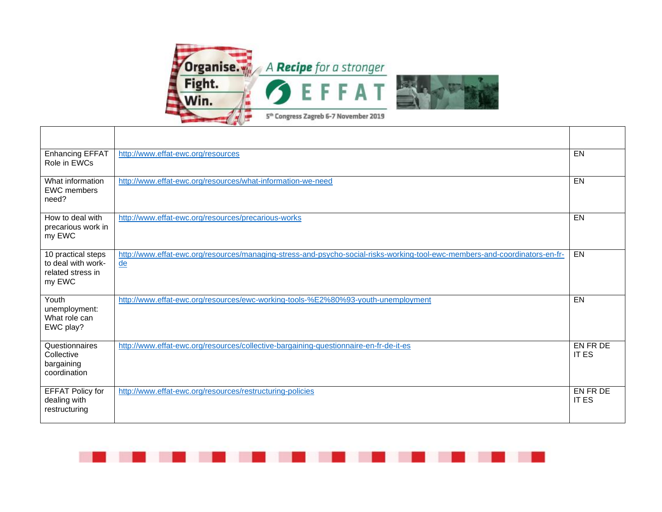

Г

─ा

| Enhancing EFFAT<br>Role in EWCs                                         | http://www.effat-ewc.org/resources                                                                                                | EN                       |
|-------------------------------------------------------------------------|-----------------------------------------------------------------------------------------------------------------------------------|--------------------------|
| What information<br><b>EWC</b> members<br>need?                         | http://www.effat-ewc.org/resources/what-information-we-need                                                                       | $E$ N                    |
| How to deal with<br>precarious work in<br>my EWC                        | http://www.effat-ewc.org/resources/precarious-works                                                                               | EN                       |
| 10 practical steps<br>to deal with work-<br>related stress in<br>my EWC | http://www.effat-ewc.org/resources/managing-stress-and-psycho-social-risks-working-tool-ewc-members-and-coordinators-en-fr-<br>de | EN                       |
| Youth<br>unemployment:<br>What role can<br>EWC play?                    | http://www.effat-ewc.org/resources/ewc-working-tools-%E2%80%93-youth-unemployment                                                 | EN                       |
| Questionnaires<br>Collective<br>bargaining<br>coordination              | http://www.effat-ewc.org/resources/collective-bargaining-questionnaire-en-fr-de-it-es                                             | EN FR DE<br><b>IT ES</b> |
| <b>EFFAT Policy for</b><br>dealing with<br>restructuring                | http://www.effat-ewc.org/resources/restructuring-policies                                                                         | EN FR DE<br><b>IT ES</b> |